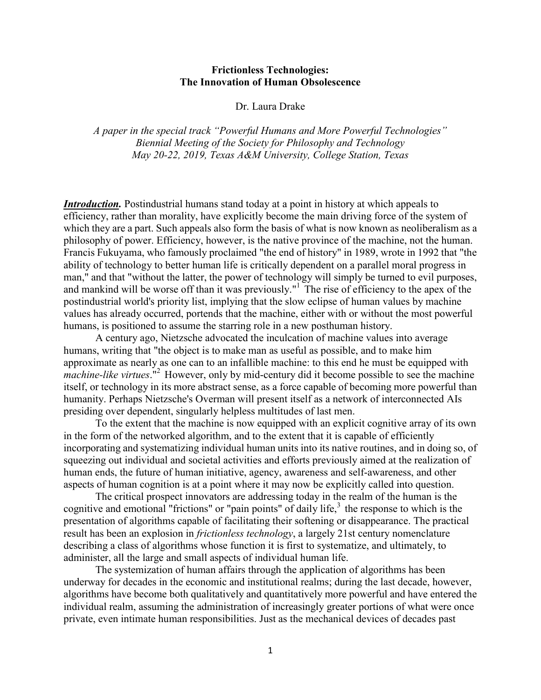# **Frictionless Technologies: The Innovation of Human Obsolescence**

Dr. Laura Drake

*A paper in the special track "Powerful Humans and More Powerful Technologies" Biennial Meeting of the Society for Philosophy and Technology May 20-22, 2019, Texas A&M University, College Station, Texas*

*Introduction.* Postindustrial humans stand today at a point in history at which appeals to efficiency, rather than morality, have explicitly become the main driving force of the system of which they are a part. Such appeals also form the basis of what is now known as neoliberalism as a philosophy of power. Efficiency, however, is the native province of the machine, not the human. Francis Fukuyama, who famously proclaimed "the end of history" in 1989, wrote in 1992 that "the ability of technology to better human life is critically dependent on a parallel moral progress in man," and that "without the latter, the power of technology will simply be turned to evil purposes, and mankind will be worse off than it was previously."<sup>1</sup> The rise of efficiency to the apex of the postindustrial world's priority list, implying that the slow eclipse of human values by machine values has already occurred, portends that the machine, either with or without the most powerful humans, is positioned to assume the starring role in a new posthuman history.

A century ago, Nietzsche advocated the inculcation of machine values into average humans, writing that "the object is to make man as useful as possible, and to make him approximate as nearly as one can to an infallible machine: to this end he must be equipped with *machine-like virtues*." <sup>2</sup> However, only by mid-century did it become possible to see the machine itself, or technology in its more abstract sense, as a force capable of becoming more powerful than humanity. Perhaps Nietzsche's Overman will present itself as a network of interconnected AIs presiding over dependent, singularly helpless multitudes of last men.

To the extent that the machine is now equipped with an explicit cognitive array of its own in the form of the networked algorithm, and to the extent that it is capable of efficiently incorporating and systematizing individual human units into its native routines, and in doing so, of squeezing out individual and societal activities and efforts previously aimed at the realization of human ends, the future of human initiative, agency, awareness and self-awareness, and other aspects of human cognition is at a point where it may now be explicitly called into question.

The critical prospect innovators are addressing today in the realm of the human is the cognitive and emotional "frictions" or "pain points" of daily life, $3$  the response to which is the presentation of algorithms capable of facilitating their softening or disappearance. The practical result has been an explosion in *frictionless technology*, a largely 21st century nomenclature describing a class of algorithms whose function it is first to systematize, and ultimately, to administer, all the large and small aspects of individual human life.

The systemization of human affairs through the application of algorithms has been underway for decades in the economic and institutional realms; during the last decade, however, algorithms have become both qualitatively and quantitatively more powerful and have entered the individual realm, assuming the administration of increasingly greater portions of what were once private, even intimate human responsibilities. Just as the mechanical devices of decades past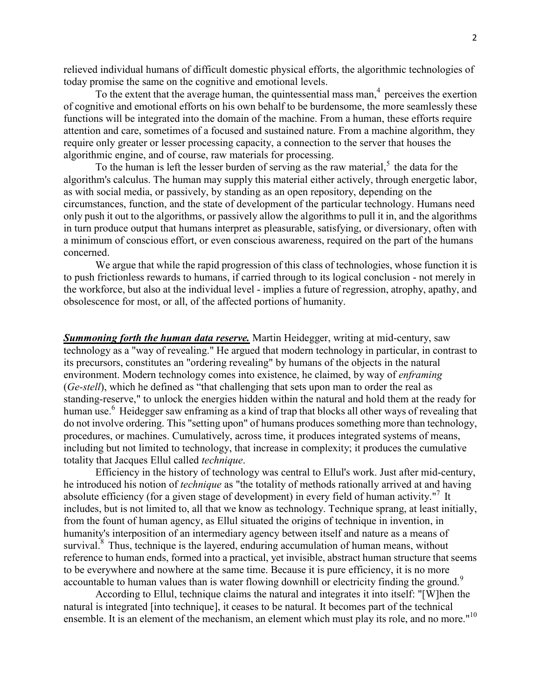relieved individual humans of difficult domestic physical efforts, the algorithmic technologies of today promise the same on the cognitive and emotional levels.

To the extent that the average human, the quintessential mass man, $<sup>4</sup>$  perceives the exertion</sup> of cognitive and emotional efforts on his own behalf to be burdensome, the more seamlessly these functions will be integrated into the domain of the machine. From a human, these efforts require attention and care, sometimes of a focused and sustained nature. From a machine algorithm, they require only greater or lesser processing capacity, a connection to the server that houses the algorithmic engine, and of course, raw materials for processing.

To the human is left the lesser burden of serving as the raw material,<sup>5</sup> the data for the algorithm's calculus. The human may supply this material either actively, through energetic labor, as with social media, or passively, by standing as an open repository, depending on the circumstances, function, and the state of development of the particular technology. Humans need only push it out to the algorithms, or passively allow the algorithms to pull it in, and the algorithms in turn produce output that humans interpret as pleasurable, satisfying, or diversionary, often with a minimum of conscious effort, or even conscious awareness, required on the part of the humans concerned.

We argue that while the rapid progression of this class of technologies, whose function it is to push frictionless rewards to humans, if carried through to its logical conclusion - not merely in the workforce, but also at the individual level - implies a future of regression, atrophy, apathy, and obsolescence for most, or all, of the affected portions of humanity.

*Summoning forth the human data reserve.* Martin Heidegger, writing at mid-century, saw technology as a "way of revealing." He argued that modern technology in particular, in contrast to its precursors, constitutes an "ordering revealing" by humans of the objects in the natural environment. Modern technology comes into existence, he claimed, by way of *enframing* (*Ge-stell*), which he defined as "that challenging that sets upon man to order the real as standing-reserve," to unlock the energies hidden within the natural and hold them at the ready for human use.<sup>6</sup> Heidegger saw enframing as a kind of trap that blocks all other ways of revealing that do not involve ordering. This "setting upon" of humans produces something more than technology, procedures, or machines. Cumulatively, across time, it produces integrated systems of means, including but not limited to technology, that increase in complexity; it produces the cumulative totality that Jacques Ellul called *technique*.

Efficiency in the history of technology was central to Ellul's work. Just after mid-century, he introduced his notion of *technique* as "the totality of methods rationally arrived at and having absolute efficiency (for a given stage of development) in every field of human activity."<sup>7</sup> It includes, but is not limited to, all that we know as technology. Technique sprang, at least initially, from the fount of human agency, as Ellul situated the origins of technique in invention, in humanity's interposition of an intermediary agency between itself and nature as a means of survival.<sup>8</sup> Thus, technique is the layered, enduring accumulation of human means, without reference to human ends, formed into a practical, yet invisible, abstract human structure that seems to be everywhere and nowhere at the same time. Because it is pure efficiency, it is no more accountable to human values than is water flowing downhill or electricity finding the ground.<sup>9</sup>

According to Ellul, technique claims the natural and integrates it into itself: "[W]hen the natural is integrated [into technique], it ceases to be natural. It becomes part of the technical ensemble. It is an element of the mechanism, an element which must play its role, and no more."<sup>10</sup>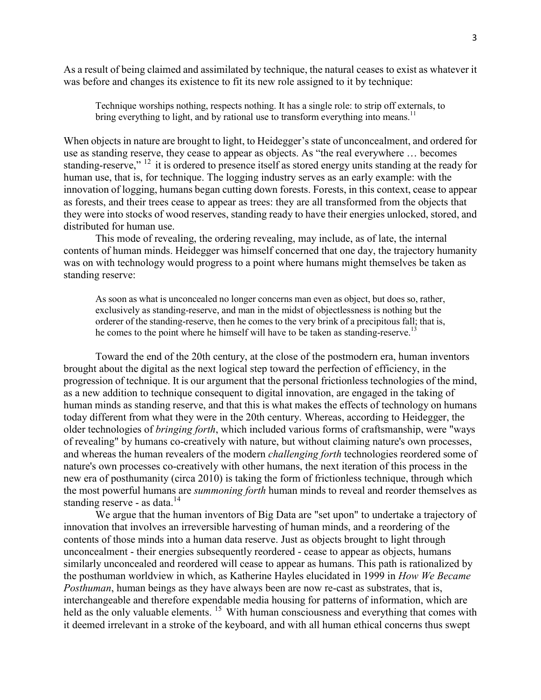As a result of being claimed and assimilated by technique, the natural ceases to exist as whatever it was before and changes its existence to fit its new role assigned to it by technique:

Technique worships nothing, respects nothing. It has a single role: to strip off externals, to bring everything to light, and by rational use to transform everything into means.<sup>11</sup>

When objects in nature are brought to light, to Heidegger's state of unconcealment, and ordered for use as standing reserve, they cease to appear as objects. As "the real everywhere … becomes standing-reserve," <sup>12</sup> it is ordered to presence itself as stored energy units standing at the ready for human use, that is, for technique. The logging industry serves as an early example: with the innovation of logging, humans began cutting down forests. Forests, in this context, cease to appear as forests, and their trees cease to appear as trees: they are all transformed from the objects that they were into stocks of wood reserves, standing ready to have their energies unlocked, stored, and distributed for human use.

This mode of revealing, the ordering revealing, may include, as of late, the internal contents of human minds. Heidegger was himself concerned that one day, the trajectory humanity was on with technology would progress to a point where humans might themselves be taken as standing reserve:

As soon as what is unconcealed no longer concerns man even as object, but does so, rather, exclusively as standing-reserve, and man in the midst of objectlessness is nothing but the orderer of the standing-reserve, then he comes to the very brink of a precipitous fall; that is, he comes to the point where he himself will have to be taken as standing-reserve.<sup>13</sup>

Toward the end of the 20th century, at the close of the postmodern era, human inventors brought about the digital as the next logical step toward the perfection of efficiency, in the progression of technique. It is our argument that the personal frictionless technologies of the mind, as a new addition to technique consequent to digital innovation, are engaged in the taking of human minds as standing reserve, and that this is what makes the effects of technology on humans today different from what they were in the 20th century. Whereas, according to Heidegger, the older technologies of *bringing forth*, which included various forms of craftsmanship, were "ways of revealing" by humans co-creatively with nature, but without claiming nature's own processes, and whereas the human revealers of the modern *challenging forth* technologies reordered some of nature's own processes co-creatively with other humans, the next iteration of this process in the new era of posthumanity (circa 2010) is taking the form of frictionless technique, through which the most powerful humans are *summoning forth* human minds to reveal and reorder themselves as standing reserve - as data.<sup>14</sup>

We argue that the human inventors of Big Data are "set upon" to undertake a trajectory of innovation that involves an irreversible harvesting of human minds, and a reordering of the contents of those minds into a human data reserve. Just as objects brought to light through unconcealment - their energies subsequently reordered - cease to appear as objects, humans similarly unconcealed and reordered will cease to appear as humans. This path is rationalized by the posthuman worldview in which, as Katherine Hayles elucidated in 1999 in *How We Became Posthuman*, human beings as they have always been are now re-cast as substrates, that is, interchangeable and therefore expendable media housing for patterns of information, which are held as the only valuable elements.<sup>15</sup> With human consciousness and everything that comes with it deemed irrelevant in a stroke of the keyboard, and with all human ethical concerns thus swept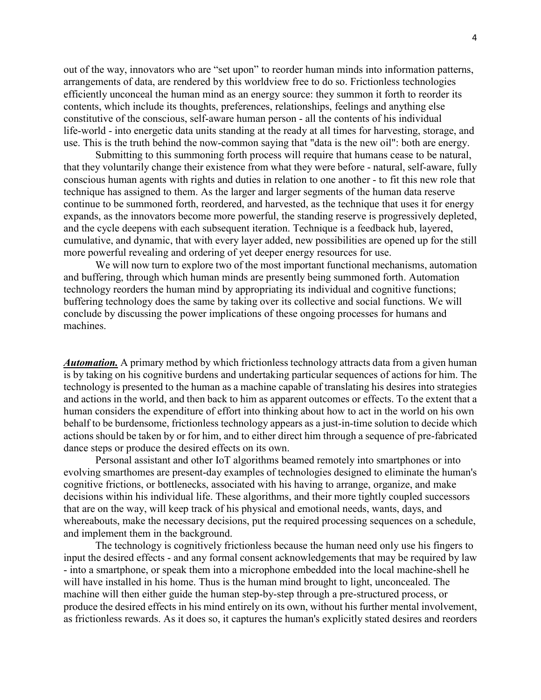out of the way, innovators who are "set upon" to reorder human minds into information patterns, arrangements of data, are rendered by this worldview free to do so. Frictionless technologies efficiently unconceal the human mind as an energy source: they summon it forth to reorder its contents, which include its thoughts, preferences, relationships, feelings and anything else constitutive of the conscious, self-aware human person - all the contents of his individual life-world - into energetic data units standing at the ready at all times for harvesting, storage, and use. This is the truth behind the now-common saying that "data is the new oil": both are energy.

Submitting to this summoning forth process will require that humans cease to be natural, that they voluntarily change their existence from what they were before - natural, self-aware, fully conscious human agents with rights and duties in relation to one another - to fit this new role that technique has assigned to them. As the larger and larger segments of the human data reserve continue to be summoned forth, reordered, and harvested, as the technique that uses it for energy expands, as the innovators become more powerful, the standing reserve is progressively depleted, and the cycle deepens with each subsequent iteration. Technique is a feedback hub, layered, cumulative, and dynamic, that with every layer added, new possibilities are opened up for the still more powerful revealing and ordering of yet deeper energy resources for use.

We will now turn to explore two of the most important functional mechanisms, automation and buffering, through which human minds are presently being summoned forth. Automation technology reorders the human mind by appropriating its individual and cognitive functions; buffering technology does the same by taking over its collective and social functions. We will conclude by discussing the power implications of these ongoing processes for humans and machines.

*Automation.* A primary method by which frictionless technology attracts data from a given human is by taking on his cognitive burdens and undertaking particular sequences of actions for him. The technology is presented to the human as a machine capable of translating his desires into strategies and actions in the world, and then back to him as apparent outcomes or effects. To the extent that a human considers the expenditure of effort into thinking about how to act in the world on his own behalf to be burdensome, frictionless technology appears as a just-in-time solution to decide which actions should be taken by or for him, and to either direct him through a sequence of pre-fabricated dance steps or produce the desired effects on its own.

Personal assistant and other IoT algorithms beamed remotely into smartphones or into evolving smarthomes are present-day examples of technologies designed to eliminate the human's cognitive frictions, or bottlenecks, associated with his having to arrange, organize, and make decisions within his individual life. These algorithms, and their more tightly coupled successors that are on the way, will keep track of his physical and emotional needs, wants, days, and whereabouts, make the necessary decisions, put the required processing sequences on a schedule, and implement them in the background.

The technology is cognitively frictionless because the human need only use his fingers to input the desired effects - and any formal consent acknowledgements that may be required by law - into a smartphone, or speak them into a microphone embedded into the local machine-shell he will have installed in his home. Thus is the human mind brought to light, unconcealed. The machine will then either guide the human step-by-step through a pre-structured process, or produce the desired effects in his mind entirely on its own, without his further mental involvement, as frictionless rewards. As it does so, it captures the human's explicitly stated desires and reorders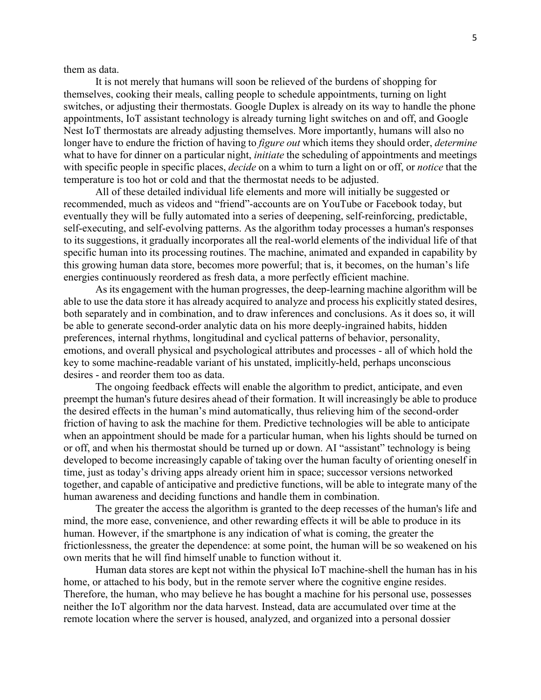them as data.

It is not merely that humans will soon be relieved of the burdens of shopping for themselves, cooking their meals, calling people to schedule appointments, turning on light switches, or adjusting their thermostats. Google Duplex is already on its way to handle the phone appointments, IoT assistant technology is already turning light switches on and off, and Google Nest IoT thermostats are already adjusting themselves. More importantly, humans will also no longer have to endure the friction of having to *figure out* which items they should order, *determine* what to have for dinner on a particular night, *initiate* the scheduling of appointments and meetings with specific people in specific places, *decide* on a whim to turn a light on or off, or *notice* that the temperature is too hot or cold and that the thermostat needs to be adjusted.

All of these detailed individual life elements and more will initially be suggested or recommended, much as videos and "friend"-accounts are on YouTube or Facebook today, but eventually they will be fully automated into a series of deepening, self-reinforcing, predictable, self-executing, and self-evolving patterns. As the algorithm today processes a human's responses to its suggestions, it gradually incorporates all the real-world elements of the individual life of that specific human into its processing routines. The machine, animated and expanded in capability by this growing human data store, becomes more powerful; that is, it becomes, on the human's life energies continuously reordered as fresh data, a more perfectly efficient machine.

As its engagement with the human progresses, the deep-learning machine algorithm will be able to use the data store it has already acquired to analyze and process his explicitly stated desires, both separately and in combination, and to draw inferences and conclusions. As it does so, it will be able to generate second-order analytic data on his more deeply-ingrained habits, hidden preferences, internal rhythms, longitudinal and cyclical patterns of behavior, personality, emotions, and overall physical and psychological attributes and processes - all of which hold the key to some machine-readable variant of his unstated, implicitly-held, perhaps unconscious desires - and reorder them too as data.

The ongoing feedback effects will enable the algorithm to predict, anticipate, and even preempt the human's future desires ahead of their formation. It will increasingly be able to produce the desired effects in the human's mind automatically, thus relieving him of the second-order friction of having to ask the machine for them. Predictive technologies will be able to anticipate when an appointment should be made for a particular human, when his lights should be turned on or off, and when his thermostat should be turned up or down. AI "assistant" technology is being developed to become increasingly capable of taking over the human faculty of orienting oneself in time, just as today's driving apps already orient him in space; successor versions networked together, and capable of anticipative and predictive functions, will be able to integrate many of the human awareness and deciding functions and handle them in combination.

The greater the access the algorithm is granted to the deep recesses of the human's life and mind, the more ease, convenience, and other rewarding effects it will be able to produce in its human. However, if the smartphone is any indication of what is coming, the greater the frictionlessness, the greater the dependence: at some point, the human will be so weakened on his own merits that he will find himself unable to function without it.

Human data stores are kept not within the physical IoT machine-shell the human has in his home, or attached to his body, but in the remote server where the cognitive engine resides. Therefore, the human, who may believe he has bought a machine for his personal use, possesses neither the IoT algorithm nor the data harvest. Instead, data are accumulated over time at the remote location where the server is housed, analyzed, and organized into a personal dossier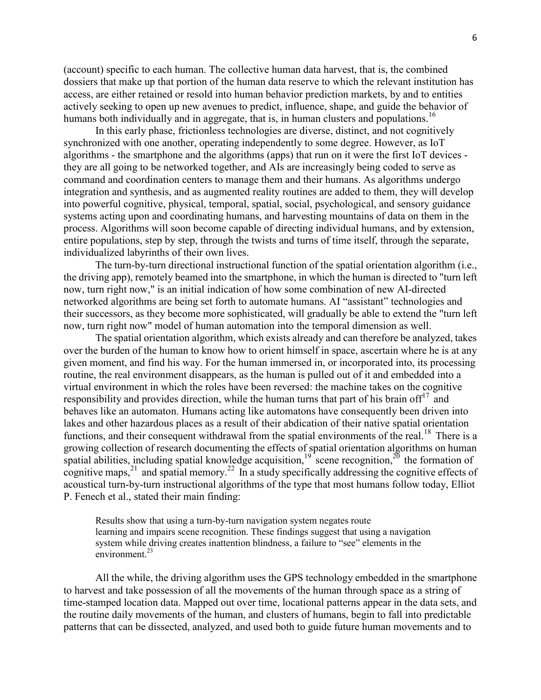(account) specific to each human. The collective human data harvest, that is, the combined dossiers that make up that portion of the human data reserve to which the relevant institution has access, are either retained or resold into human behavior prediction markets, by and to entities actively seeking to open up new avenues to predict, influence, shape, and guide the behavior of humans both individually and in aggregate, that is, in human clusters and populations.<sup>16</sup>

In this early phase, frictionless technologies are diverse, distinct, and not cognitively synchronized with one another, operating independently to some degree. However, as IoT algorithms - the smartphone and the algorithms (apps) that run on it were the first IoT devices they are all going to be networked together, and AIs are increasingly being coded to serve as command and coordination centers to manage them and their humans. As algorithms undergo integration and synthesis, and as augmented reality routines are added to them, they will develop into powerful cognitive, physical, temporal, spatial, social, psychological, and sensory guidance systems acting upon and coordinating humans, and harvesting mountains of data on them in the process. Algorithms will soon become capable of directing individual humans, and by extension, entire populations, step by step, through the twists and turns of time itself, through the separate, individualized labyrinths of their own lives.

The turn-by-turn directional instructional function of the spatial orientation algorithm (i.e., the driving app), remotely beamed into the smartphone, in which the human is directed to "turn left now, turn right now," is an initial indication of how some combination of new AI-directed networked algorithms are being set forth to automate humans. AI "assistant" technologies and their successors, as they become more sophisticated, will gradually be able to extend the "turn left now, turn right now" model of human automation into the temporal dimension as well.

The spatial orientation algorithm, which exists already and can therefore be analyzed, takes over the burden of the human to know how to orient himself in space, ascertain where he is at any given moment, and find his way. For the human immersed in, or incorporated into, its processing routine, the real environment disappears, as the human is pulled out of it and embedded into a virtual environment in which the roles have been reversed: the machine takes on the cognitive responsibility and provides direction, while the human turns that part of his brain of  $f<sup>17</sup>$  and behaves like an automaton. Humans acting like automatons have consequently been driven into lakes and other hazardous places as a result of their abdication of their native spatial orientation functions, and their consequent withdrawal from the spatial environments of the real.<sup>18</sup> There is a growing collection of research documenting the effects of spatial orientation algorithms on human spatial abilities, including spatial knowledge acquisition,<sup>19</sup> scene recognition,<sup>20</sup> the formation of cognitive maps,<sup>21</sup> and spatial memory.<sup>22</sup> In a study specifically addressing the cognitive effects of acoustical turn-by-turn instructional algorithms of the type that most humans follow today, Elliot P. Fenech et al., stated their main finding:

Results show that using a turn-by-turn navigation system negates route learning and impairs scene recognition. These findings suggest that using a navigation system while driving creates inattention blindness, a failure to "see" elements in the environment. $^{23}$ 

All the while, the driving algorithm uses the GPS technology embedded in the smartphone to harvest and take possession of all the movements of the human through space as a string of time-stamped location data. Mapped out over time, locational patterns appear in the data sets, and the routine daily movements of the human, and clusters of humans, begin to fall into predictable patterns that can be dissected, analyzed, and used both to guide future human movements and to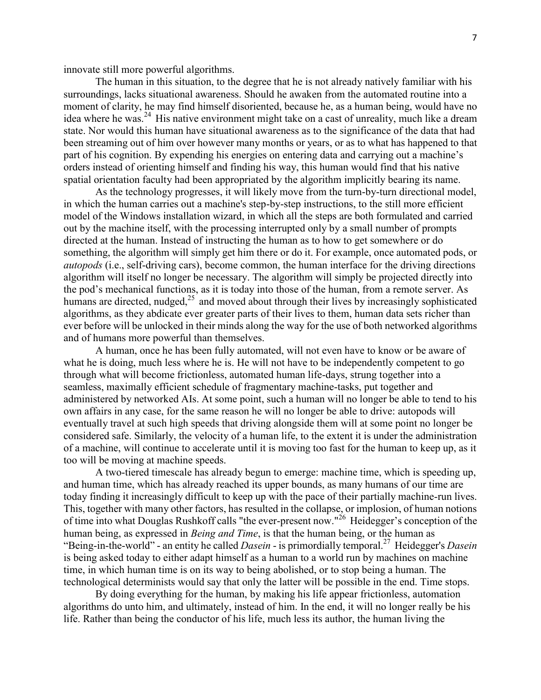innovate still more powerful algorithms.

The human in this situation, to the degree that he is not already natively familiar with his surroundings, lacks situational awareness. Should he awaken from the automated routine into a moment of clarity, he may find himself disoriented, because he, as a human being, would have no idea where he was.<sup>24</sup> His native environment might take on a cast of unreality, much like a dream state. Nor would this human have situational awareness as to the significance of the data that had been streaming out of him over however many months or years, or as to what has happened to that part of his cognition. By expending his energies on entering data and carrying out a machine's orders instead of orienting himself and finding his way, this human would find that his native spatial orientation faculty had been appropriated by the algorithm implicitly bearing its name.

As the technology progresses, it will likely move from the turn-by-turn directional model, in which the human carries out a machine's step-by-step instructions, to the still more efficient model of the Windows installation wizard, in which all the steps are both formulated and carried out by the machine itself, with the processing interrupted only by a small number of prompts directed at the human. Instead of instructing the human as to how to get somewhere or do something, the algorithm will simply get him there or do it. For example, once automated pods, or *autopods* (i.e., self-driving cars), become common, the human interface for the driving directions algorithm will itself no longer be necessary. The algorithm will simply be projected directly into the pod's mechanical functions, as it is today into those of the human, from a remote server. As humans are directed, nudged, $^{25}$  and moved about through their lives by increasingly sophisticated algorithms, as they abdicate ever greater parts of their lives to them, human data sets richer than ever before will be unlocked in their minds along the way for the use of both networked algorithms and of humans more powerful than themselves.

A human, once he has been fully automated, will not even have to know or be aware of what he is doing, much less where he is. He will not have to be independently competent to go through what will become frictionless, automated human life-days, strung together into a seamless, maximally efficient schedule of fragmentary machine-tasks, put together and administered by networked AIs. At some point, such a human will no longer be able to tend to his own affairs in any case, for the same reason he will no longer be able to drive: autopods will eventually travel at such high speeds that driving alongside them will at some point no longer be considered safe. Similarly, the velocity of a human life, to the extent it is under the administration of a machine, will continue to accelerate until it is moving too fast for the human to keep up, as it too will be moving at machine speeds.

A two-tiered timescale has already begun to emerge: machine time, which is speeding up, and human time, which has already reached its upper bounds, as many humans of our time are today finding it increasingly difficult to keep up with the pace of their partially machine-run lives. This, together with many other factors, has resulted in the collapse, or implosion, of human notions of time into what Douglas Rushkoff calls "the ever-present now."<sup>26</sup> Heidegger's conception of the human being, as expressed in *Being and Time*, is that the human being, or the human as "Being-in-the-world" - an entity he called *Dasein* - is primordially temporal.<sup>27</sup> Heidegger's *Dasein* is being asked today to either adapt himself as a human to a world run by machines on machine time, in which human time is on its way to being abolished, or to stop being a human. The technological determinists would say that only the latter will be possible in the end. Time stops.

By doing everything for the human, by making his life appear frictionless, automation algorithms do unto him, and ultimately, instead of him. In the end, it will no longer really be his life. Rather than being the conductor of his life, much less its author, the human living the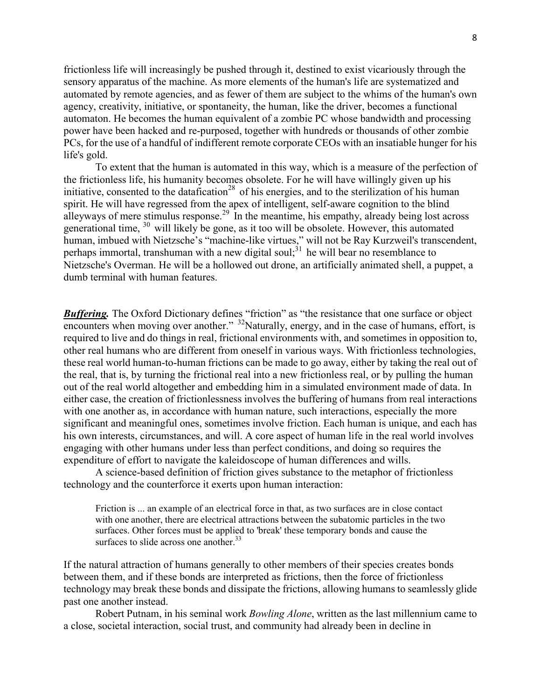frictionless life will increasingly be pushed through it, destined to exist vicariously through the sensory apparatus of the machine. As more elements of the human's life are systematized and automated by remote agencies, and as fewer of them are subject to the whims of the human's own agency, creativity, initiative, or spontaneity, the human, like the driver, becomes a functional automaton. He becomes the human equivalent of a zombie PC whose bandwidth and processing power have been hacked and re-purposed, together with hundreds or thousands of other zombie PCs, for the use of a handful of indifferent remote corporate CEOs with an insatiable hunger for his life's gold.

To extent that the human is automated in this way, which is a measure of the perfection of the frictionless life, his humanity becomes obsolete. For he will have willingly given up his initiative, consented to the datafication<sup>28</sup> of his energies, and to the sterilization of his human spirit. He will have regressed from the apex of intelligent, self-aware cognition to the blind alleyways of mere stimulus response.<sup>29</sup> In the meantime, his empathy, already being lost across generational time, <sup>30</sup> will likely be gone, as it too will be obsolete. However, this automated human, imbued with Nietzsche's "machine-like virtues," will not be Ray Kurzweil's transcendent, perhaps immortal, transhuman with a new digital soul;  $3<sup>1</sup>$  he will bear no resemblance to Nietzsche's Overman. He will be a hollowed out drone, an artificially animated shell, a puppet, a dumb terminal with human features.

**Buffering.** The Oxford Dictionary defines "friction" as "the resistance that one surface or object encounters when moving over another." <sup>32</sup>Naturally, energy, and in the case of humans, effort, is required to live and do things in real, frictional environments with, and sometimes in opposition to, other real humans who are different from oneself in various ways. With frictionless technologies, these real world human-to-human frictions can be made to go away, either by taking the real out of the real, that is, by turning the frictional real into a new frictionless real, or by pulling the human out of the real world altogether and embedding him in a simulated environment made of data. In either case, the creation of frictionlessness involves the buffering of humans from real interactions with one another as, in accordance with human nature, such interactions, especially the more significant and meaningful ones, sometimes involve friction. Each human is unique, and each has his own interests, circumstances, and will. A core aspect of human life in the real world involves engaging with other humans under less than perfect conditions, and doing so requires the expenditure of effort to navigate the kaleidoscope of human differences and wills.

A science-based definition of friction gives substance to the metaphor of frictionless technology and the counterforce it exerts upon human interaction:

Friction is ... an example of an electrical force in that, as two surfaces are in close contact with one another, there are electrical attractions between the subatomic particles in the two surfaces. Other forces must be applied to 'break' these temporary bonds and cause the surfaces to slide across one another.<sup>33</sup>

If the natural attraction of humans generally to other members of their species creates bonds between them, and if these bonds are interpreted as frictions, then the force of frictionless technology may break these bonds and dissipate the frictions, allowing humans to seamlessly glide past one another instead.

Robert Putnam, in his seminal work *Bowling Alone*, written as the last millennium came to a close, societal interaction, social trust, and community had already been in decline in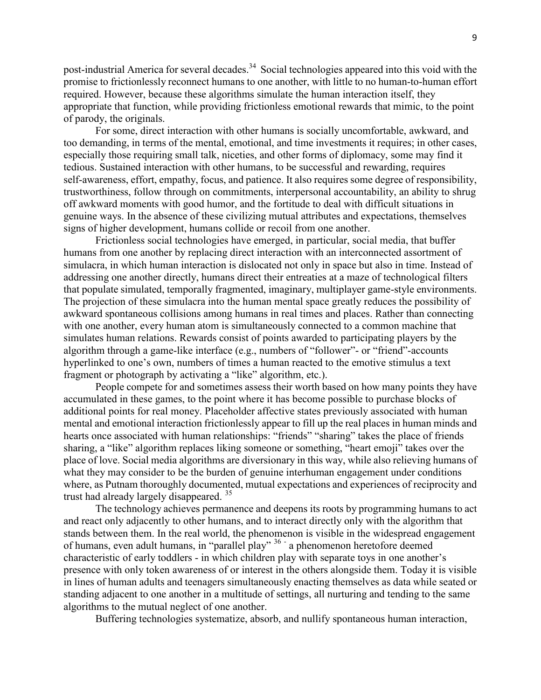post-industrial America for several decades.<sup>34</sup> Social technologies appeared into this void with the promise to frictionlessly reconnect humans to one another, with little to no human-to-human effort required. However, because these algorithms simulate the human interaction itself, they appropriate that function, while providing frictionless emotional rewards that mimic, to the point of parody, the originals.

For some, direct interaction with other humans is socially uncomfortable, awkward, and too demanding, in terms of the mental, emotional, and time investments it requires; in other cases, especially those requiring small talk, niceties, and other forms of diplomacy, some may find it tedious. Sustained interaction with other humans, to be successful and rewarding, requires self-awareness, effort, empathy, focus, and patience. It also requires some degree of responsibility, trustworthiness, follow through on commitments, interpersonal accountability, an ability to shrug off awkward moments with good humor, and the fortitude to deal with difficult situations in genuine ways. In the absence of these civilizing mutual attributes and expectations, themselves signs of higher development, humans collide or recoil from one another.

Frictionless social technologies have emerged, in particular, social media, that buffer humans from one another by replacing direct interaction with an interconnected assortment of simulacra, in which human interaction is dislocated not only in space but also in time. Instead of addressing one another directly, humans direct their entreaties at a maze of technological filters that populate simulated, temporally fragmented, imaginary, multiplayer game-style environments. The projection of these simulacra into the human mental space greatly reduces the possibility of awkward spontaneous collisions among humans in real times and places. Rather than connecting with one another, every human atom is simultaneously connected to a common machine that simulates human relations. Rewards consist of points awarded to participating players by the algorithm through a game-like interface (e.g., numbers of "follower"- or "friend"-accounts hyperlinked to one's own, numbers of times a human reacted to the emotive stimulus a text fragment or photograph by activating a "like" algorithm, etc.).

People compete for and sometimes assess their worth based on how many points they have accumulated in these games, to the point where it has become possible to purchase blocks of additional points for real money. Placeholder affective states previously associated with human mental and emotional interaction frictionlessly appear to fill up the real places in human minds and hearts once associated with human relationships: "friends" "sharing" takes the place of friends sharing, a "like" algorithm replaces liking someone or something, "heart emoji" takes over the place of love. Social media algorithms are diversionary in this way, while also relieving humans of what they may consider to be the burden of genuine interhuman engagement under conditions where, as Putnam thoroughly documented, mutual expectations and experiences of reciprocity and trust had already largely disappeared.<sup>35</sup>

The technology achieves permanence and deepens its roots by programming humans to act and react only adjacently to other humans, and to interact directly only with the algorithm that stands between them. In the real world, the phenomenon is visible in the widespread engagement of humans, even adult humans, in "parallel play" 36 a phenomenon heretofore deemed characteristic of early toddlers - in which children play with separate toys in one another's presence with only token awareness of or interest in the others alongside them. Today it is visible in lines of human adults and teenagers simultaneously enacting themselves as data while seated or standing adjacent to one another in a multitude of settings, all nurturing and tending to the same algorithms to the mutual neglect of one another.

Buffering technologies systematize, absorb, and nullify spontaneous human interaction,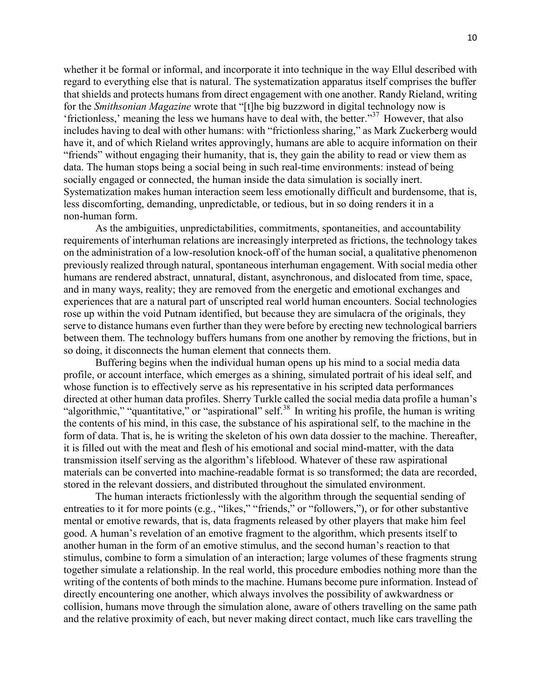whether it be formal or informal, and incorporate it into technique in the way Ellul described with regard to everything else that is natural. The systematization apparatus itself comprises the buffer that shields and protects humans from direct engagement with one another. Randy Rieland, writing for the *Smithsonian Magazine* wrote that "[t]he big buzzword in digital technology now is 'frictionless,' meaning the less we humans have to deal with, the better. $37$  However, that also includes having to deal with other humans: with "frictionless sharing," as Mark Zuckerberg would have it, and of which Rieland writes approvingly, humans are able to acquire information on their "friends" without engaging their humanity, that is, they gain the ability to read or view them as data. The human stops being a social being in such real-time environments: instead of being socially engaged or connected, the human inside the data simulation is socially inert. Systematization makes human interaction seem less emotionally difficult and burdensome, that is, less discomforting, demanding, unpredictable, or tedious, but in so doing renders it in a non-human form.

As the ambiguities, unpredictabilities, commitments, spontaneities, and accountability requirements of interhuman relations are increasingly interpreted as frictions, the technology takes on the administration of a low-resolution knock-off of the human social, a qualitative phenomenon previously realized through natural, spontaneous interhuman engagement. With social media other humans are rendered abstract, unnatural, distant, asynchronous, and dislocated from time, space, and in many ways, reality; they are removed from the energetic and emotional exchanges and experiences that are a natural part of unscripted real world human encounters. Social technologies rose up within the void Putnam identified, but because they are simulacra of the originals, they serve to distance humans even further than they were before by erecting new technological barriers between them. The technology buffers humans from one another by removing the frictions, but in so doing, it disconnects the human element that connects them.

Buffering begins when the individual human opens up his mind to a social media data profile, or account interface, which emerges as a shining, simulated portrait of his ideal self, and whose function is to effectively serve as his representative in his scripted data performances directed at other human data profiles. Sherry Turkle called the social media data profile a human's "algorithmic," "quantitative," or "aspirational" self.<sup>38</sup> In writing his profile, the human is writing the contents of his mind, in this case, the substance of his aspirational self, to the machine in the form of data. That is, he is writing the skeleton of his own data dossier to the machine. Thereafter, it is filled out with the meat and flesh of his emotional and social mind-matter, with the data transmission itself serving as the algorithm's lifeblood. Whatever of these raw aspirational materials can be converted into machine-readable format is so transformed; the data are recorded, stored in the relevant dossiers, and distributed throughout the simulated environment.

The human interacts frictionlessly with the algorithm through the sequential sending of entreaties to it for more points (e.g., "likes," "friends," or "followers,"), or for other substantive mental or emotive rewards, that is, data fragments released by other players that make him feel good. A human's revelation of an emotive fragment to the algorithm, which presents itself to another human in the form of an emotive stimulus, and the second human's reaction to that stimulus, combine to form a simulation of an interaction; large volumes of these fragments strung together simulate a relationship. In the real world, this procedure embodies nothing more than the writing of the contents of both minds to the machine. Humans become pure information. Instead of directly encountering one another, which always involves the possibility of awkwardness or collision, humans move through the simulation alone, aware of others travelling on the same path and the relative proximity of each, but never making direct contact, much like cars travelling the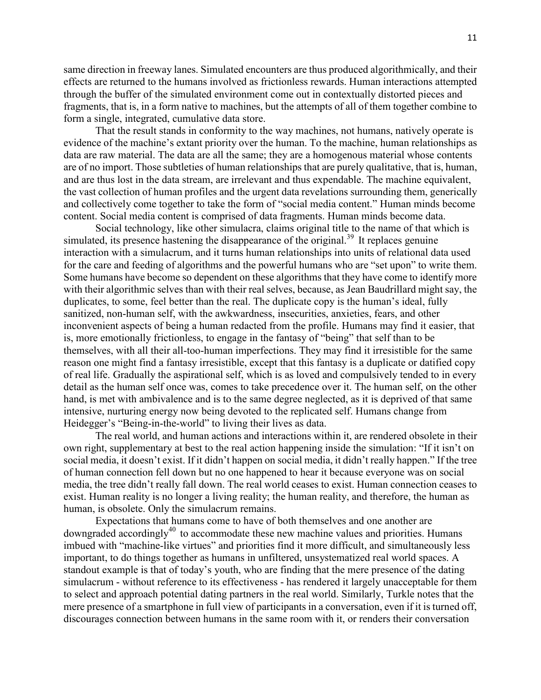same direction in freeway lanes. Simulated encounters are thus produced algorithmically, and their effects are returned to the humans involved as frictionless rewards. Human interactions attempted through the buffer of the simulated environment come out in contextually distorted pieces and fragments, that is, in a form native to machines, but the attempts of all of them together combine to form a single, integrated, cumulative data store.

That the result stands in conformity to the way machines, not humans, natively operate is evidence of the machine's extant priority over the human. To the machine, human relationships as data are raw material. The data are all the same; they are a homogenous material whose contents are of no import. Those subtleties of human relationships that are purely qualitative, that is, human, and are thus lost in the data stream, are irrelevant and thus expendable. The machine equivalent, the vast collection of human profiles and the urgent data revelations surrounding them, generically and collectively come together to take the form of "social media content." Human minds become content. Social media content is comprised of data fragments. Human minds become data.

Social technology, like other simulacra, claims original title to the name of that which is simulated, its presence hastening the disappearance of the original.<sup>39</sup> It replaces genuine interaction with a simulacrum, and it turns human relationships into units of relational data used for the care and feeding of algorithms and the powerful humans who are "set upon" to write them. Some humans have become so dependent on these algorithms that they have come to identify more with their algorithmic selves than with their real selves, because, as Jean Baudrillard might say, the duplicates, to some, feel better than the real. The duplicate copy is the human's ideal, fully sanitized, non-human self, with the awkwardness, insecurities, anxieties, fears, and other inconvenient aspects of being a human redacted from the profile. Humans may find it easier, that is, more emotionally frictionless, to engage in the fantasy of "being" that self than to be themselves, with all their all-too-human imperfections. They may find it irresistible for the same reason one might find a fantasy irresistible, except that this fantasy is a duplicate or datified copy of real life. Gradually the aspirational self, which is as loved and compulsively tended to in every detail as the human self once was, comes to take precedence over it. The human self, on the other hand, is met with ambivalence and is to the same degree neglected, as it is deprived of that same intensive, nurturing energy now being devoted to the replicated self. Humans change from Heidegger's "Being-in-the-world" to living their lives as data.

The real world, and human actions and interactions within it, are rendered obsolete in their own right, supplementary at best to the real action happening inside the simulation: "If it isn't on social media, it doesn't exist. If it didn't happen on social media, it didn't really happen." If the tree of human connection fell down but no one happened to hear it because everyone was on social media, the tree didn't really fall down. The real world ceases to exist. Human connection ceases to exist. Human reality is no longer a living reality; the human reality, and therefore, the human as human, is obsolete. Only the simulacrum remains.

Expectations that humans come to have of both themselves and one another are downgraded accordingly<sup>40</sup> to accommodate these new machine values and priorities. Humans imbued with "machine-like virtues" and priorities find it more difficult, and simultaneously less important, to do things together as humans in unfiltered, unsystematized real world spaces. A standout example is that of today's youth, who are finding that the mere presence of the dating simulacrum - without reference to its effectiveness - has rendered it largely unacceptable for them to select and approach potential dating partners in the real world. Similarly, Turkle notes that the mere presence of a smartphone in full view of participants in a conversation, even if it is turned off, discourages connection between humans in the same room with it, or renders their conversation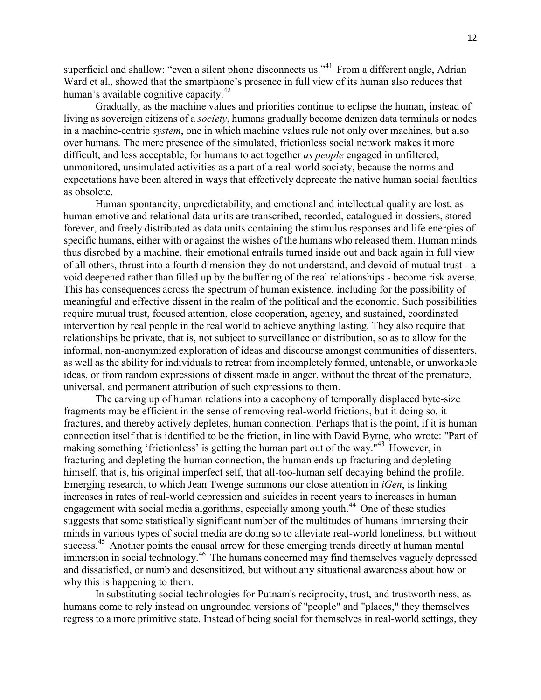superficial and shallow: "even a silent phone disconnects us."<sup>41</sup> From a different angle, Adrian Ward et al., showed that the smartphone's presence in full view of its human also reduces that human's available cognitive capacity.<sup>42</sup>

Gradually, as the machine values and priorities continue to eclipse the human, instead of living as sovereign citizens of a *society*, humans gradually become denizen data terminals or nodes in a machine-centric *system*, one in which machine values rule not only over machines, but also over humans. The mere presence of the simulated, frictionless social network makes it more difficult, and less acceptable, for humans to act together *as people* engaged in unfiltered, unmonitored, unsimulated activities as a part of a real-world society, because the norms and expectations have been altered in ways that effectively deprecate the native human social faculties as obsolete.

Human spontaneity, unpredictability, and emotional and intellectual quality are lost, as human emotive and relational data units are transcribed, recorded, catalogued in dossiers, stored forever, and freely distributed as data units containing the stimulus responses and life energies of specific humans, either with or against the wishes of the humans who released them. Human minds thus disrobed by a machine, their emotional entrails turned inside out and back again in full view of all others, thrust into a fourth dimension they do not understand, and devoid of mutual trust - a void deepened rather than filled up by the buffering of the real relationships - become risk averse. This has consequences across the spectrum of human existence, including for the possibility of meaningful and effective dissent in the realm of the political and the economic. Such possibilities require mutual trust, focused attention, close cooperation, agency, and sustained, coordinated intervention by real people in the real world to achieve anything lasting. They also require that relationships be private, that is, not subject to surveillance or distribution, so as to allow for the informal, non-anonymized exploration of ideas and discourse amongst communities of dissenters, as well as the ability for individuals to retreat from incompletely formed, untenable, or unworkable ideas, or from random expressions of dissent made in anger, without the threat of the premature, universal, and permanent attribution of such expressions to them.

The carving up of human relations into a cacophony of temporally displaced byte-size fragments may be efficient in the sense of removing real-world frictions, but it doing so, it fractures, and thereby actively depletes, human connection. Perhaps that is the point, if it is human connection itself that is identified to be the friction, in line with David Byrne, who wrote: "Part of making something 'frictionless' is getting the human part out of the way."<sup>43</sup> However, in fracturing and depleting the human connection, the human ends up fracturing and depleting himself, that is, his original imperfect self, that all-too-human self decaying behind the profile. Emerging research, to which Jean Twenge summons our close attention in *iGen*, is linking increases in rates of real-world depression and suicides in recent years to increases in human engagement with social media algorithms, especially among youth.<sup>44</sup> One of these studies suggests that some statistically significant number of the multitudes of humans immersing their minds in various types of social media are doing so to alleviate real-world loneliness, but without success.<sup>45</sup> Another points the causal arrow for these emerging trends directly at human mental immersion in social technology.<sup>46</sup> The humans concerned may find themselves vaguely depressed and dissatisfied, or numb and desensitized, but without any situational awareness about how or why this is happening to them.

In substituting social technologies for Putnam's reciprocity, trust, and trustworthiness, as humans come to rely instead on ungrounded versions of "people" and "places," they themselves regress to a more primitive state. Instead of being social for themselves in real-world settings, they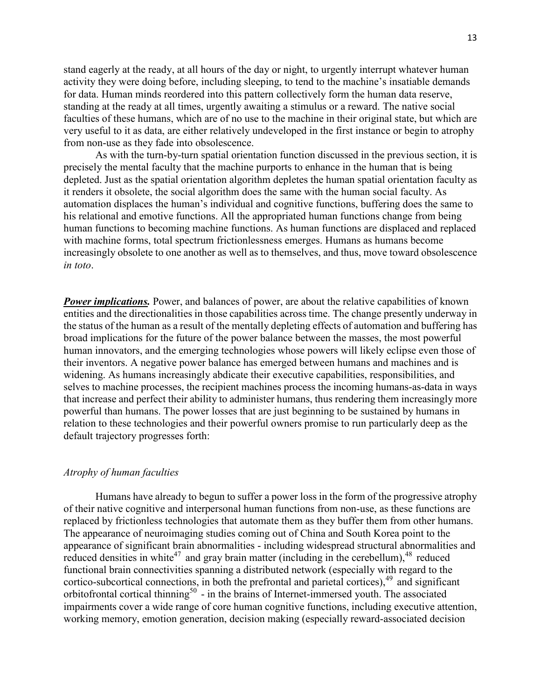stand eagerly at the ready, at all hours of the day or night, to urgently interrupt whatever human activity they were doing before, including sleeping, to tend to the machine's insatiable demands for data. Human minds reordered into this pattern collectively form the human data reserve, standing at the ready at all times, urgently awaiting a stimulus or a reward. The native social faculties of these humans, which are of no use to the machine in their original state, but which are very useful to it as data, are either relatively undeveloped in the first instance or begin to atrophy from non-use as they fade into obsolescence.

As with the turn-by-turn spatial orientation function discussed in the previous section, it is precisely the mental faculty that the machine purports to enhance in the human that is being depleted. Just as the spatial orientation algorithm depletes the human spatial orientation faculty as it renders it obsolete, the social algorithm does the same with the human social faculty. As automation displaces the human's individual and cognitive functions, buffering does the same to his relational and emotive functions. All the appropriated human functions change from being human functions to becoming machine functions. As human functions are displaced and replaced with machine forms, total spectrum frictionlessness emerges. Humans as humans become increasingly obsolete to one another as well as to themselves, and thus, move toward obsolescence *in toto*.

**Power implications.** Power, and balances of power, are about the relative capabilities of known entities and the directionalities in those capabilities across time. The change presently underway in the status of the human as a result of the mentally depleting effects of automation and buffering has broad implications for the future of the power balance between the masses, the most powerful human innovators, and the emerging technologies whose powers will likely eclipse even those of their inventors. A negative power balance has emerged between humans and machines and is widening. As humans increasingly abdicate their executive capabilities, responsibilities, and selves to machine processes, the recipient machines process the incoming humans-as-data in ways that increase and perfect their ability to administer humans, thus rendering them increasingly more powerful than humans. The power losses that are just beginning to be sustained by humans in relation to these technologies and their powerful owners promise to run particularly deep as the default trajectory progresses forth:

#### *Atrophy of human faculties*

Humans have already to begun to suffer a power loss in the form of the progressive atrophy of their native cognitive and interpersonal human functions from non-use, as these functions are replaced by frictionless technologies that automate them as they buffer them from other humans. The appearance of neuroimaging studies coming out of China and South Korea point to the appearance of significant brain abnormalities - including widespread structural abnormalities and reduced densities in white<sup>47</sup> and gray brain matter (including in the cerebellum), <sup>48</sup> reduced functional brain connectivities spanning a distributed network (especially with regard to the cortico-subcortical connections, in both the prefrontal and parietal cortices).<sup>49</sup> and significant orbitofrontal cortical thinning<sup>50</sup> - in the brains of Internet-immersed youth. The associated impairments cover a wide range of core human cognitive functions, including executive attention, working memory, emotion generation, decision making (especially reward-associated decision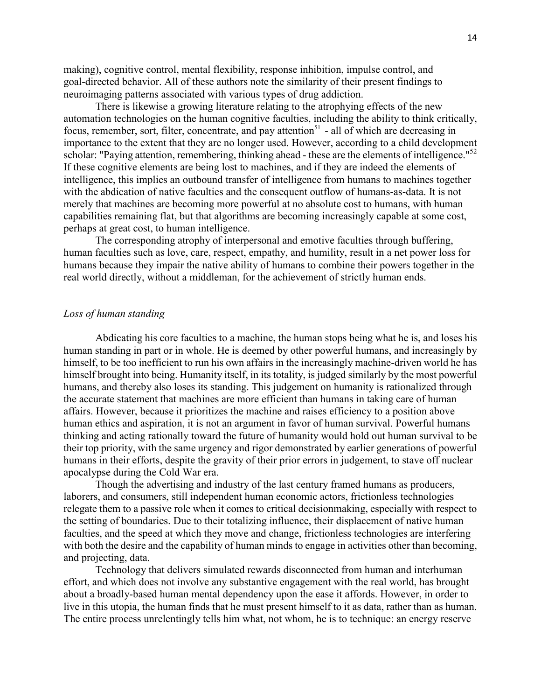making), cognitive control, mental flexibility, response inhibition, impulse control, and goal-directed behavior. All of these authors note the similarity of their present findings to neuroimaging patterns associated with various types of drug addiction.

There is likewise a growing literature relating to the atrophying effects of the new automation technologies on the human cognitive faculties, including the ability to think critically, focus, remember, sort, filter, concentrate, and pay attention<sup>51</sup> - all of which are decreasing in importance to the extent that they are no longer used. However, according to a child development scholar: "Paying attention, remembering, thinking ahead - these are the elements of intelligence."<sup>52</sup> If these cognitive elements are being lost to machines, and if they are indeed the elements of intelligence, this implies an outbound transfer of intelligence from humans to machines together with the abdication of native faculties and the consequent outflow of humans-as-data. It is not merely that machines are becoming more powerful at no absolute cost to humans, with human capabilities remaining flat, but that algorithms are becoming increasingly capable at some cost, perhaps at great cost, to human intelligence.

The corresponding atrophy of interpersonal and emotive faculties through buffering, human faculties such as love, care, respect, empathy, and humility, result in a net power loss for humans because they impair the native ability of humans to combine their powers together in the real world directly, without a middleman, for the achievement of strictly human ends.

## *Loss of human standing*

Abdicating his core faculties to a machine, the human stops being what he is, and loses his human standing in part or in whole. He is deemed by other powerful humans, and increasingly by himself, to be too inefficient to run his own affairs in the increasingly machine-driven world he has himself brought into being. Humanity itself, in its totality, is judged similarly by the most powerful humans, and thereby also loses its standing. This judgement on humanity is rationalized through the accurate statement that machines are more efficient than humans in taking care of human affairs. However, because it prioritizes the machine and raises efficiency to a position above human ethics and aspiration, it is not an argument in favor of human survival. Powerful humans thinking and acting rationally toward the future of humanity would hold out human survival to be their top priority, with the same urgency and rigor demonstrated by earlier generations of powerful humans in their efforts, despite the gravity of their prior errors in judgement, to stave off nuclear apocalypse during the Cold War era.

Though the advertising and industry of the last century framed humans as producers, laborers, and consumers, still independent human economic actors, frictionless technologies relegate them to a passive role when it comes to critical decisionmaking, especially with respect to the setting of boundaries. Due to their totalizing influence, their displacement of native human faculties, and the speed at which they move and change, frictionless technologies are interfering with both the desire and the capability of human minds to engage in activities other than becoming, and projecting, data.

Technology that delivers simulated rewards disconnected from human and interhuman effort, and which does not involve any substantive engagement with the real world, has brought about a broadly-based human mental dependency upon the ease it affords. However, in order to live in this utopia, the human finds that he must present himself to it as data, rather than as human. The entire process unrelentingly tells him what, not whom, he is to technique: an energy reserve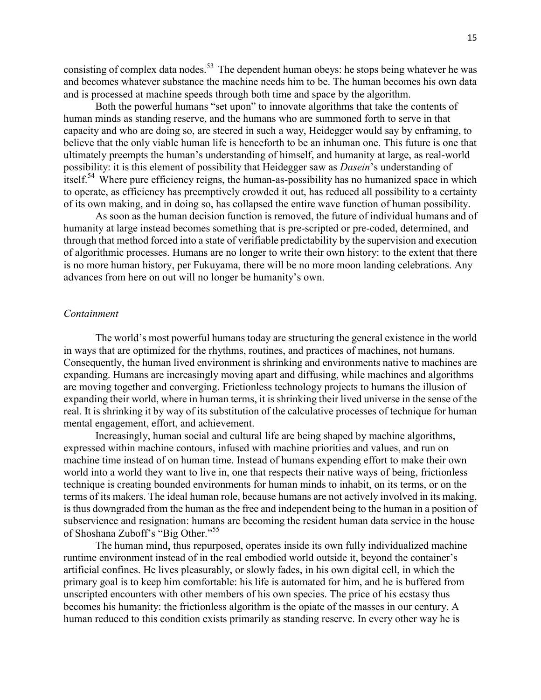consisting of complex data nodes.<sup>53</sup> The dependent human obeys: he stops being whatever he was and becomes whatever substance the machine needs him to be. The human becomes his own data and is processed at machine speeds through both time and space by the algorithm.

Both the powerful humans "set upon" to innovate algorithms that take the contents of human minds as standing reserve, and the humans who are summoned forth to serve in that capacity and who are doing so, are steered in such a way, Heidegger would say by enframing, to believe that the only viable human life is henceforth to be an inhuman one. This future is one that ultimately preempts the human's understanding of himself, and humanity at large, as real-world possibility: it is this element of possibility that Heidegger saw as *Dasein*'s understanding of itself.<sup>54</sup> Where pure efficiency reigns, the human-as-possibility has no humanized space in which to operate, as efficiency has preemptively crowded it out, has reduced all possibility to a certainty of its own making, and in doing so, has collapsed the entire wave function of human possibility.

As soon as the human decision function is removed, the future of individual humans and of humanity at large instead becomes something that is pre-scripted or pre-coded, determined, and through that method forced into a state of verifiable predictability by the supervision and execution of algorithmic processes. Humans are no longer to write their own history: to the extent that there is no more human history, per Fukuyama, there will be no more moon landing celebrations. Any advances from here on out will no longer be humanity's own.

#### *Containment*

The world's most powerful humans today are structuring the general existence in the world in ways that are optimized for the rhythms, routines, and practices of machines, not humans. Consequently, the human lived environment is shrinking and environments native to machines are expanding. Humans are increasingly moving apart and diffusing, while machines and algorithms are moving together and converging. Frictionless technology projects to humans the illusion of expanding their world, where in human terms, it is shrinking their lived universe in the sense of the real. It is shrinking it by way of its substitution of the calculative processes of technique for human mental engagement, effort, and achievement.

Increasingly, human social and cultural life are being shaped by machine algorithms, expressed within machine contours, infused with machine priorities and values, and run on machine time instead of on human time. Instead of humans expending effort to make their own world into a world they want to live in, one that respects their native ways of being, frictionless technique is creating bounded environments for human minds to inhabit, on its terms, or on the terms of its makers. The ideal human role, because humans are not actively involved in its making, is thus downgraded from the human as the free and independent being to the human in a position of subservience and resignation: humans are becoming the resident human data service in the house of Shoshana Zuboff's "Big Other."<sup>55</sup>

The human mind, thus repurposed, operates inside its own fully individualized machine runtime environment instead of in the real embodied world outside it, beyond the container's artificial confines. He lives pleasurably, or slowly fades, in his own digital cell, in which the primary goal is to keep him comfortable: his life is automated for him, and he is buffered from unscripted encounters with other members of his own species. The price of his ecstasy thus becomes his humanity: the frictionless algorithm is the opiate of the masses in our century. A human reduced to this condition exists primarily as standing reserve. In every other way he is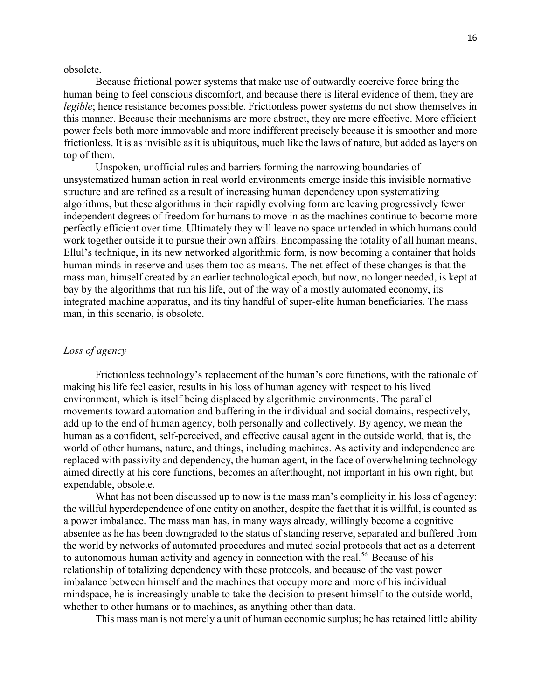obsolete.

Because frictional power systems that make use of outwardly coercive force bring the human being to feel conscious discomfort, and because there is literal evidence of them, they are *legible*; hence resistance becomes possible. Frictionless power systems do not show themselves in this manner. Because their mechanisms are more abstract, they are more effective. More efficient power feels both more immovable and more indifferent precisely because it is smoother and more frictionless. It is as invisible as it is ubiquitous, much like the laws of nature, but added as layers on top of them.

Unspoken, unofficial rules and barriers forming the narrowing boundaries of unsystematized human action in real world environments emerge inside this invisible normative structure and are refined as a result of increasing human dependency upon systematizing algorithms, but these algorithms in their rapidly evolving form are leaving progressively fewer independent degrees of freedom for humans to move in as the machines continue to become more perfectly efficient over time. Ultimately they will leave no space untended in which humans could work together outside it to pursue their own affairs. Encompassing the totality of all human means, Ellul's technique, in its new networked algorithmic form, is now becoming a container that holds human minds in reserve and uses them too as means. The net effect of these changes is that the mass man, himself created by an earlier technological epoch, but now, no longer needed, is kept at bay by the algorithms that run his life, out of the way of a mostly automated economy, its integrated machine apparatus, and its tiny handful of super-elite human beneficiaries. The mass man, in this scenario, is obsolete.

## *Loss of agency*

Frictionless technology's replacement of the human's core functions, with the rationale of making his life feel easier, results in his loss of human agency with respect to his lived environment, which is itself being displaced by algorithmic environments. The parallel movements toward automation and buffering in the individual and social domains, respectively, add up to the end of human agency, both personally and collectively. By agency, we mean the human as a confident, self-perceived, and effective causal agent in the outside world, that is, the world of other humans, nature, and things, including machines. As activity and independence are replaced with passivity and dependency, the human agent, in the face of overwhelming technology aimed directly at his core functions, becomes an afterthought, not important in his own right, but expendable, obsolete.

What has not been discussed up to now is the mass man's complicity in his loss of agency: the willful hyperdependence of one entity on another, despite the fact that it is willful, is counted as a power imbalance. The mass man has, in many ways already, willingly become a cognitive absentee as he has been downgraded to the status of standing reserve, separated and buffered from the world by networks of automated procedures and muted social protocols that act as a deterrent to autonomous human activity and agency in connection with the real.<sup>56</sup> Because of his relationship of totalizing dependency with these protocols, and because of the vast power imbalance between himself and the machines that occupy more and more of his individual mindspace, he is increasingly unable to take the decision to present himself to the outside world, whether to other humans or to machines, as anything other than data.

This mass man is not merely a unit of human economic surplus; he has retained little ability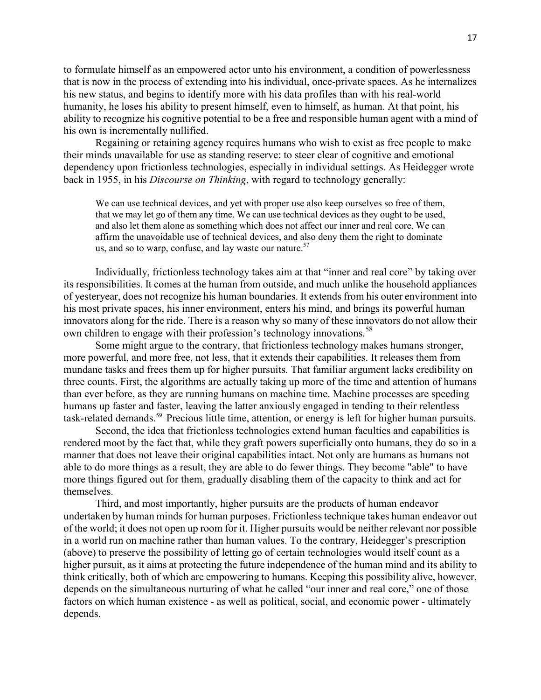to formulate himself as an empowered actor unto his environment, a condition of powerlessness that is now in the process of extending into his individual, once-private spaces. As he internalizes his new status, and begins to identify more with his data profiles than with his real-world humanity, he loses his ability to present himself, even to himself, as human. At that point, his ability to recognize his cognitive potential to be a free and responsible human agent with a mind of his own is incrementally nullified.

Regaining or retaining agency requires humans who wish to exist as free people to make their minds unavailable for use as standing reserve: to steer clear of cognitive and emotional dependency upon frictionless technologies, especially in individual settings. As Heidegger wrote back in 1955, in his *Discourse on Thinking*, with regard to technology generally:

We can use technical devices, and yet with proper use also keep ourselves so free of them, that we may let go of them any time. We can use technical devices as they ought to be used, and also let them alone as something which does not affect our inner and real core. We can affirm the unavoidable use of technical devices, and also deny them the right to dominate us, and so to warp, confuse, and lay waste our nature. $57$ 

Individually, frictionless technology takes aim at that "inner and real core" by taking over its responsibilities. It comes at the human from outside, and much unlike the household appliances of yesteryear, does not recognize his human boundaries. It extends from his outer environment into his most private spaces, his inner environment, enters his mind, and brings its powerful human innovators along for the ride. There is a reason why so many of these innovators do not allow their own children to engage with their profession's technology innovations.<sup>58</sup>

Some might argue to the contrary, that frictionless technology makes humans stronger, more powerful, and more free, not less, that it extends their capabilities. It releases them from mundane tasks and frees them up for higher pursuits. That familiar argument lacks credibility on three counts. First, the algorithms are actually taking up more of the time and attention of humans than ever before, as they are running humans on machine time. Machine processes are speeding humans up faster and faster, leaving the latter anxiously engaged in tending to their relentless task-related demands.<sup>59</sup> Precious little time, attention, or energy is left for higher human pursuits.

Second, the idea that frictionless technologies extend human faculties and capabilities is rendered moot by the fact that, while they graft powers superficially onto humans, they do so in a manner that does not leave their original capabilities intact. Not only are humans as humans not able to do more things as a result, they are able to do fewer things. They become "able" to have more things figured out for them, gradually disabling them of the capacity to think and act for themselves.

Third, and most importantly, higher pursuits are the products of human endeavor undertaken by human minds for human purposes. Frictionless technique takes human endeavor out of the world; it does not open up room for it. Higher pursuits would be neither relevant nor possible in a world run on machine rather than human values. To the contrary, Heidegger's prescription (above) to preserve the possibility of letting go of certain technologies would itself count as a higher pursuit, as it aims at protecting the future independence of the human mind and its ability to think critically, both of which are empowering to humans. Keeping this possibility alive, however, depends on the simultaneous nurturing of what he called "our inner and real core," one of those factors on which human existence - as well as political, social, and economic power - ultimately depends.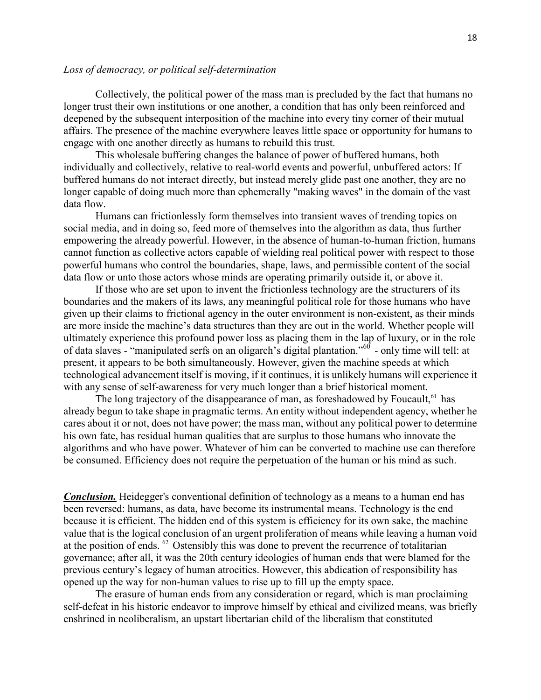## *Loss of democracy, or political self-determination*

Collectively, the political power of the mass man is precluded by the fact that humans no longer trust their own institutions or one another, a condition that has only been reinforced and deepened by the subsequent interposition of the machine into every tiny corner of their mutual affairs. The presence of the machine everywhere leaves little space or opportunity for humans to engage with one another directly as humans to rebuild this trust.

This wholesale buffering changes the balance of power of buffered humans, both individually and collectively, relative to real-world events and powerful, unbuffered actors: If buffered humans do not interact directly, but instead merely glide past one another, they are no longer capable of doing much more than ephemerally "making waves" in the domain of the vast data flow.

Humans can frictionlessly form themselves into transient waves of trending topics on social media, and in doing so, feed more of themselves into the algorithm as data, thus further empowering the already powerful. However, in the absence of human-to-human friction, humans cannot function as collective actors capable of wielding real political power with respect to those powerful humans who control the boundaries, shape, laws, and permissible content of the social data flow or unto those actors whose minds are operating primarily outside it, or above it.

If those who are set upon to invent the frictionless technology are the structurers of its boundaries and the makers of its laws, any meaningful political role for those humans who have given up their claims to frictional agency in the outer environment is non-existent, as their minds are more inside the machine's data structures than they are out in the world. Whether people will ultimately experience this profound power loss as placing them in the lap of luxury, or in the role of data slaves - "manipulated serfs on an oligarch's digital plantation."<sup>60</sup> - only time will tell: at present, it appears to be both simultaneously. However, given the machine speeds at which technological advancement itself is moving, if it continues, it is unlikely humans will experience it with any sense of self-awareness for very much longer than a brief historical moment.

The long trajectory of the disappearance of man, as foreshadowed by Foucault.<sup>61</sup> has already begun to take shape in pragmatic terms. An entity without independent agency, whether he cares about it or not, does not have power; the mass man, without any political power to determine his own fate, has residual human qualities that are surplus to those humans who innovate the algorithms and who have power. Whatever of him can be converted to machine use can therefore be consumed. Efficiency does not require the perpetuation of the human or his mind as such.

*Conclusion.* Heidegger's conventional definition of technology as a means to a human end has been reversed: humans, as data, have become its instrumental means. Technology is the end because it is efficient. The hidden end of this system is efficiency for its own sake, the machine value that is the logical conclusion of an urgent proliferation of means while leaving a human void at the position of ends. <sup>62</sup> Ostensibly this was done to prevent the recurrence of totalitarian governance; after all, it was the 20th century ideologies of human ends that were blamed for the previous century's legacy of human atrocities. However, this abdication of responsibility has opened up the way for non-human values to rise up to fill up the empty space.

The erasure of human ends from any consideration or regard, which is man proclaiming self-defeat in his historic endeavor to improve himself by ethical and civilized means, was briefly enshrined in neoliberalism, an upstart libertarian child of the liberalism that constituted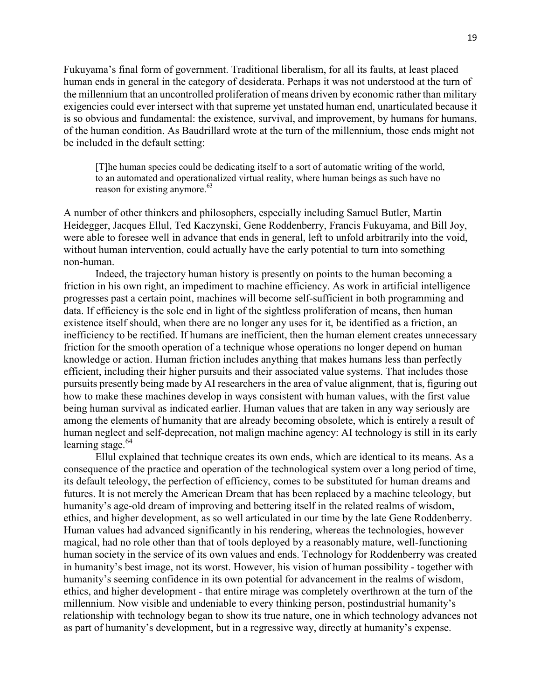Fukuyama's final form of government. Traditional liberalism, for all its faults, at least placed human ends in general in the category of desiderata. Perhaps it was not understood at the turn of the millennium that an uncontrolled proliferation of means driven by economic rather than military exigencies could ever intersect with that supreme yet unstated human end, unarticulated because it is so obvious and fundamental: the existence, survival, and improvement, by humans for humans, of the human condition. As Baudrillard wrote at the turn of the millennium, those ends might not be included in the default setting:

[T]he human species could be dedicating itself to a sort of automatic writing of the world, to an automated and operationalized virtual reality, where human beings as such have no reason for existing anymore.<sup>63</sup>

A number of other thinkers and philosophers, especially including Samuel Butler, Martin Heidegger, Jacques Ellul, Ted Kaczynski, Gene Roddenberry, Francis Fukuyama, and Bill Joy, were able to foresee well in advance that ends in general, left to unfold arbitrarily into the void, without human intervention, could actually have the early potential to turn into something non-human.

Indeed, the trajectory human history is presently on points to the human becoming a friction in his own right, an impediment to machine efficiency. As work in artificial intelligence progresses past a certain point, machines will become self-sufficient in both programming and data. If efficiency is the sole end in light of the sightless proliferation of means, then human existence itself should, when there are no longer any uses for it, be identified as a friction, an inefficiency to be rectified. If humans are inefficient, then the human element creates unnecessary friction for the smooth operation of a technique whose operations no longer depend on human knowledge or action. Human friction includes anything that makes humans less than perfectly efficient, including their higher pursuits and their associated value systems. That includes those pursuits presently being made by AI researchers in the area of value alignment, that is, figuring out how to make these machines develop in ways consistent with human values, with the first value being human survival as indicated earlier. Human values that are taken in any way seriously are among the elements of humanity that are already becoming obsolete, which is entirely a result of human neglect and self-deprecation, not malign machine agency: AI technology is still in its early learning stage.<sup>64</sup>

Ellul explained that technique creates its own ends, which are identical to its means. As a consequence of the practice and operation of the technological system over a long period of time, its default teleology, the perfection of efficiency, comes to be substituted for human dreams and futures. It is not merely the American Dream that has been replaced by a machine teleology, but humanity's age-old dream of improving and bettering itself in the related realms of wisdom, ethics, and higher development, as so well articulated in our time by the late Gene Roddenberry. Human values had advanced significantly in his rendering, whereas the technologies, however magical, had no role other than that of tools deployed by a reasonably mature, well-functioning human society in the service of its own values and ends. Technology for Roddenberry was created in humanity's best image, not its worst. However, his vision of human possibility - together with humanity's seeming confidence in its own potential for advancement in the realms of wisdom, ethics, and higher development - that entire mirage was completely overthrown at the turn of the millennium. Now visible and undeniable to every thinking person, postindustrial humanity's relationship with technology began to show its true nature, one in which technology advances not as part of humanity's development, but in a regressive way, directly at humanity's expense.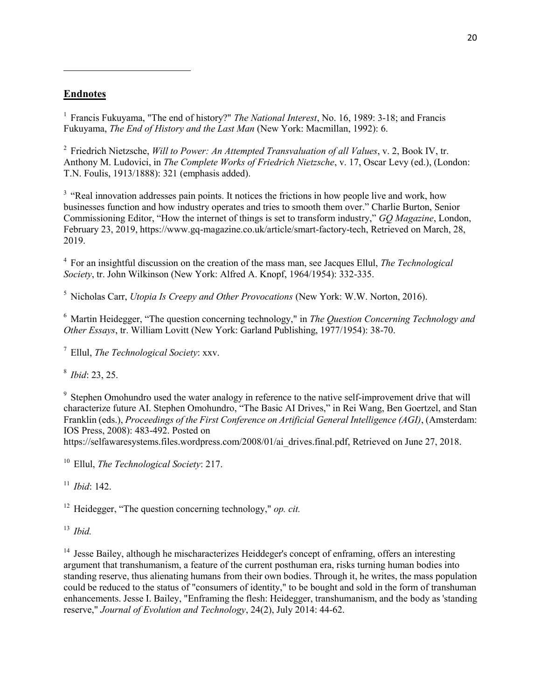# **Endnotes**

 $\overline{\phantom{a}}$ 

<sup>1</sup> Francis Fukuyama, "The end of history?" *The National Interest*, No. 16, 1989: 3-18; and Francis Fukuyama, *The End of History and the Last Man* (New York: Macmillan, 1992): 6.

2 Friedrich Nietzsche, *Will to Power: An Attempted Transvaluation of all Values*, v. 2, Book IV, tr. Anthony M. Ludovici, in *The Complete Works of Friedrich Nietzsche*, v. 17, Oscar Levy (ed.), (London: T.N. Foulis, 1913/1888): 321 (emphasis added).

<sup>3</sup> "Real innovation addresses pain points. It notices the frictions in how people live and work, how businesses function and how industry operates and tries to smooth them over." Charlie Burton, Senior Commissioning Editor, "How the internet of things is set to transform industry," *GQ Magazine*, London, February 23, 2019, https://www.gq-magazine.co.uk/article/smart-factory-tech, Retrieved on March, 28, 2019.

4 For an insightful discussion on the creation of the mass man, see Jacques Ellul, *The Technological Society*, tr. John Wilkinson (New York: Alfred A. Knopf, 1964/1954): 332-335.

<sup>5</sup> Nicholas Carr, *Utopia Is Creepy and Other Provocations* (New York: W.W. Norton, 2016).

<sup>6</sup> Martin Heidegger, "The question concerning technology," in *The Question Concerning Technology and Other Essays*, tr. William Lovitt (New York: Garland Publishing, 1977/1954): 38-70.

<sup>7</sup> Ellul, *The Technological Society*: xxv.

8 *Ibid*: 23, 25.

<sup>9</sup> Stephen Omohundro used the water analogy in reference to the native self-improvement drive that will characterize future AI. Stephen Omohundro, "The Basic AI Drives," in Rei Wang, Ben Goertzel, and Stan Franklin (eds.), *Proceedings of the First Conference on Artificial General Intelligence (AGI)*, (Amsterdam: IOS Press, 2008): 483-492. Posted on

https://selfawaresystems.files.wordpress.com/2008/01/ai\_drives.final.pdf, Retrieved on June 27, 2018.

<sup>10</sup> Ellul, *The Technological Society*: 217.

<sup>11</sup> *Ibid*: 142.

<sup>12</sup> Heidegger, "The question concerning technology," *op. cit.*

<sup>13</sup> *Ibid.*

 $14$  Jesse Bailey, although he mischaracterizes Heiddeger's concept of enframing, offers an interesting argument that transhumanism, a feature of the current posthuman era, risks turning human bodies into standing reserve, thus alienating humans from their own bodies. Through it, he writes, the mass population could be reduced to the status of "consumers of identity," to be bought and sold in the form of transhuman enhancements. Jesse I. Bailey, "Enframing the flesh: Heidegger, transhumanism, and the body as 'standing reserve," *Journal of Evolution and Technology*, 24(2), July 2014: 44-62.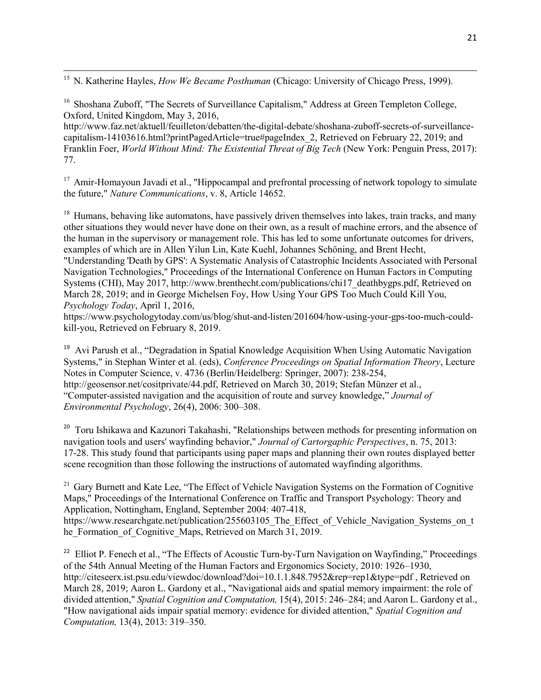$\overline{\phantom{a}}$ <sup>15</sup> N. Katherine Hayles, *How We Became Posthuman* (Chicago: University of Chicago Press, 1999).

<sup>16</sup> Shoshana Zuboff, "The Secrets of Surveillance Capitalism," Address at Green Templeton College, Oxford, United Kingdom, May 3, 2016,

http://www.faz.net/aktuell/feuilleton/debatten/the-digital-debate/shoshana-zuboff-secrets-of-surveillancecapitalism-14103616.html?printPagedArticle=true#pageIndex\_2, Retrieved on February 22, 2019; and Franklin Foer, *World Without Mind: The Existential Threat of Big Tech* (New York: Penguin Press, 2017): 77.

<sup>17</sup> Amir-Homayoun Javadi et al., "Hippocampal and prefrontal processing of network topology to simulate the future," *Nature Communications*, v. 8, Article 14652.

<sup>18</sup> Humans, behaving like automatons, have passively driven themselves into lakes, train tracks, and many other situations they would never have done on their own, as a result of machine errors, and the absence of the human in the supervisory or management role. This has led to some unfortunate outcomes for drivers, examples of which are in Allen Yilun Lin, Kate Kuehl, Johannes Schöning, and Brent Hecht,

"Understanding 'Death by GPS': A Systematic Analysis of Catastrophic Incidents Associated with Personal Navigation Technologies," Proceedings of the International Conference on Human Factors in Computing Systems (CHI), May 2017, http://www.brenthecht.com/publications/chi17\_deathbygps.pdf, Retrieved on March 28, 2019; and in George Michelsen Foy, How Using Your GPS Too Much Could Kill You, *Psychology Today*, April 1, 2016,

https://www.psychologytoday.com/us/blog/shut-and-listen/201604/how-using-your-gps-too-much-couldkill-you, Retrieved on February 8, 2019.

<sup>19</sup> Avi Parush et al., "Degradation in Spatial Knowledge Acquisition When Using Automatic Navigation Systems," in Stephan Winter et al. (eds), *Conference Proceedings on Spatial Information Theory*, Lecture Notes in Computer Science, v. 4736 (Berlin/Heidelberg: Springer, 2007): 238-254, http://geosensor.net/cositprivate/44.pdf, Retrieved on March 30, 2019; Stefan Münzer et al., "Computer-assisted navigation and the acquisition of route and survey knowledge," *Journal of Environmental Psychology*, 26(4), 2006: 300–308.

<sup>20</sup> Toru Ishikawa and Kazunori Takahashi, "Relationships between methods for presenting information on navigation tools and users' wayfinding behavior," *Journal of Cartorgaphic Perspectives*, n. 75, 2013: 17-28. This study found that participants using paper maps and planning their own routes displayed better scene recognition than those following the instructions of automated wayfinding algorithms.

<sup>21</sup> Gary Burnett and Kate Lee, "The Effect of Vehicle Navigation Systems on the Formation of Cognitive Maps," Proceedings of the International Conference on Traffic and Transport Psychology: Theory and Application, Nottingham, England, September 2004: 407-418,

https://www.researchgate.net/publication/255603105\_The\_Effect\_of\_Vehicle\_Navigation\_Systems\_on\_t he\_Formation\_of\_Cognitive\_Maps, Retrieved on March 31, 2019.

<sup>22</sup> Elliot P. Fenech et al., "The Effects of Acoustic Turn-by-Turn Navigation on Wayfinding," Proceedings of the 54th Annual Meeting of the Human Factors and Ergonomics Society, 2010: 1926–1930, http://citeseerx.ist.psu.edu/viewdoc/download?doi=10.1.1.848.7952&rep=rep1&type=pdf, Retrieved on March 28, 2019; Aaron L. Gardony et al., "Navigational aids and spatial memory impairment: the role of divided attention," *Spatial Cognition and Computation,* 15(4), 2015: 246–284; and Aaron L. Gardony et al., "How navigational aids impair spatial memory: evidence for divided attention," *Spatial Cognition and Computation,* 13(4), 2013: 319–350.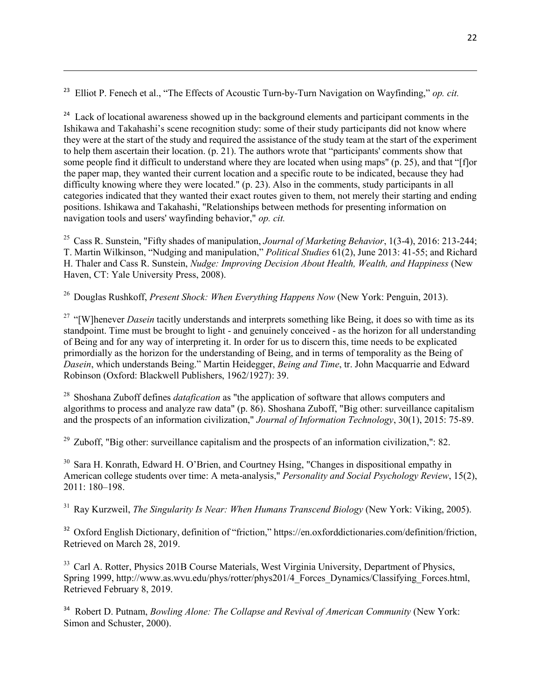<sup>23</sup> Elliot P. Fenech et al., "The Effects of Acoustic Turn-by-Turn Navigation on Wayfinding," *op. cit.*

 $\overline{\phantom{a}}$ 

<sup>24</sup> Lack of locational awareness showed up in the background elements and participant comments in the Ishikawa and Takahashi's scene recognition study: some of their study participants did not know where they were at the start of the study and required the assistance of the study team at the start of the experiment to help them ascertain their location. (p. 21). The authors wrote that "participants' comments show that some people find it difficult to understand where they are located when using maps" (p. 25), and that "[f]or the paper map, they wanted their current location and a specific route to be indicated, because they had difficulty knowing where they were located." (p. 23). Also in the comments, study participants in all categories indicated that they wanted their exact routes given to them, not merely their starting and ending positions. Ishikawa and Takahashi, "Relationships between methods for presenting information on navigation tools and users' wayfinding behavior," *op. cit.*

<sup>25</sup> Cass R. Sunstein, "Fifty shades of manipulation, *Journal of Marketing Behavior*, 1(3-4), 2016: 213-244; T. Martin Wilkinson, "Nudging and manipulation," *Political Studies* 61(2), June 2013: 41-55; and Richard H. Thaler and Cass R. Sunstein, *Nudge: Improving Decision About Health, Wealth, and Happiness* (New Haven, CT: Yale University Press, 2008).

<sup>26</sup> Douglas Rushkoff, *Present Shock: When Everything Happens Now* (New York: Penguin, 2013).

<sup>27</sup> "[W]henever *Dasein* tacitly understands and interprets something like Being, it does so with time as its standpoint. Time must be brought to light - and genuinely conceived - as the horizon for all understanding of Being and for any way of interpreting it. In order for us to discern this, time needs to be explicated primordially as the horizon for the understanding of Being, and in terms of temporality as the Being of *Dasein*, which understands Being." Martin Heidegger, *Being and Time*, tr. John Macquarrie and Edward Robinson (Oxford: Blackwell Publishers, 1962/1927): 39.

<sup>28</sup> Shoshana Zuboff defines *datafication* as "the application of software that allows computers and algorithms to process and analyze raw data" (p. 86). Shoshana Zuboff, "Big other: surveillance capitalism and the prospects of an information civilization," *Journal of Information Technology*, 30(1), 2015: 75-89.

 $29$  Zuboff, "Big other: surveillance capitalism and the prospects of an information civilization,": 82.

<sup>30</sup> Sara H. Konrath, Edward H. O'Brien, and Courtney Hsing, "Changes in dispositional empathy in American college students over time: A meta-analysis," *Personality and Social Psychology Review*, 15(2), 2011: 180–198.

<sup>31</sup> Ray Kurzweil, *The Singularity Is Near: When Humans Transcend Biology* (New York: Viking, 2005).

<sup>32</sup> Oxford English Dictionary, definition of "friction," https://en.oxforddictionaries.com/definition/friction, Retrieved on March 28, 2019.

<sup>33</sup> Carl A. Rotter, Physics 201B Course Materials, West Virginia University, Department of Physics, Spring 1999, http://www.as.wvu.edu/phys/rotter/phys201/4\_Forces\_Dynamics/Classifying\_Forces.html, Retrieved February 8, 2019.

<sup>34</sup> Robert D. Putnam, *Bowling Alone: The Collapse and Revival of American Community* (New York: Simon and Schuster, 2000).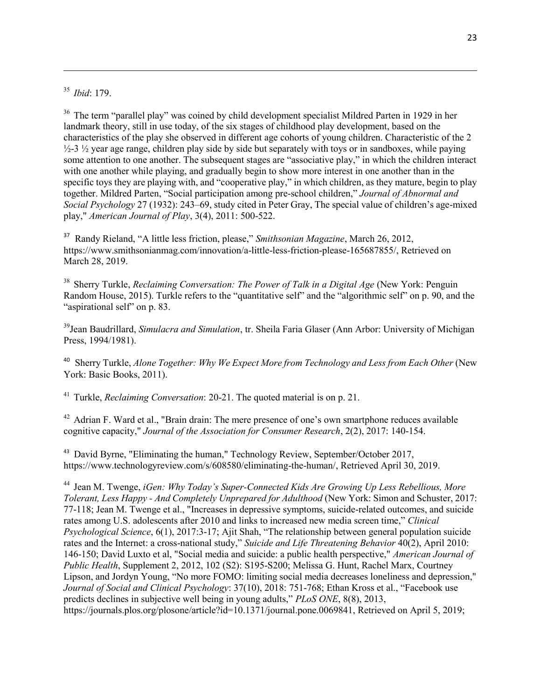<sup>35</sup> *Ibid*: 179.

 $\overline{\phantom{a}}$ 

<sup>36</sup> The term "parallel play" was coined by child development specialist Mildred Parten in 1929 in her landmark theory, still in use today, of the six stages of childhood play development, based on the characteristics of the play she observed in different age cohorts of young children. Characteristic of the 2  $\frac{1}{2}$ -3  $\frac{1}{2}$  year age range, children play side by side but separately with toys or in sandboxes, while paying some attention to one another. The subsequent stages are "associative play," in which the children interact with one another while playing, and gradually begin to show more interest in one another than in the specific toys they are playing with, and "cooperative play," in which children, as they mature, begin to play together. Mildred Parten, "Social participation among pre-school children," *Journal of Abnormal and Social Psychology* 27 (1932): 243–69, study cited in Peter Gray, The special value of children's age-mixed play," *American Journal of Play*, 3(4), 2011: 500-522.

<sup>37</sup> Randy Rieland, "A little less friction, please," *Smithsonian Magazine*, March 26, 2012, https://www.smithsonianmag.com/innovation/a-little-less-friction-please-165687855/, Retrieved on March 28, 2019.

<sup>38</sup> Sherry Turkle, *Reclaiming Conversation: The Power of Talk in a Digital Age* (New York: Penguin Random House, 2015). Turkle refers to the "quantitative self" and the "algorithmic self" on p. 90, and the "aspirational self" on p. 83.

<sup>39</sup>Jean Baudrillard, *Simulacra and Simulation*, tr. Sheila Faria Glaser (Ann Arbor: University of Michigan Press, 1994/1981).

<sup>40</sup> Sherry Turkle, *Alone Together: Why We Expect More from Technology and Less from Each Other* (New York: Basic Books, 2011).

<sup>41</sup> Turkle, *Reclaiming Conversation*: 20-21. The quoted material is on p. 21.

<sup>42</sup> Adrian F. Ward et al., "Brain drain: The mere presence of one's own smartphone reduces available cognitive capacity," *Journal of the Association for Consumer Research*, 2(2), 2017: 140-154.

<sup>43</sup> David Byrne, "Eliminating the human," Technology Review, September/October 2017, https://www.technologyreview.com/s/608580/eliminating-the-human/, Retrieved April 30, 2019.

<sup>44</sup> Jean M. Twenge, *iGen: Why Today's Super-Connected Kids Are Growing Up Less Rebellious, More Tolerant, Less Happy - And Completely Unprepared for Adulthood* (New York: Simon and Schuster, 2017: 77-118; Jean M. Twenge et al., "Increases in depressive symptoms, suicide-related outcomes, and suicide rates among U.S. adolescents after 2010 and links to increased new media screen time," *Clinical Psychological Science*, 6(1), 2017:3-17; Ajit Shah, "The relationship between general population suicide rates and the Internet: a cross-national study," *Suicide and Life Threatening Behavior* 40(2), April 2010: 146-150; David Luxto et al, "Social media and suicide: a public health perspective," *American Journal of Public Health*, Supplement 2, 2012, 102 (S2): S195-S200; Melissa G. Hunt, Rachel Marx, Courtney Lipson, and Jordyn Young, "No more FOMO: limiting social media decreases loneliness and depression," *Journal of Social and Clinical Psychology*: 37(10), 2018: 751-768; Ethan Kross et al., "Facebook use predicts declines in subjective well being in young adults," *PLoS ONE*, 8(8), 2013, https://journals.plos.org/plosone/article?id=10.1371/journal.pone.0069841, Retrieved on April 5, 2019;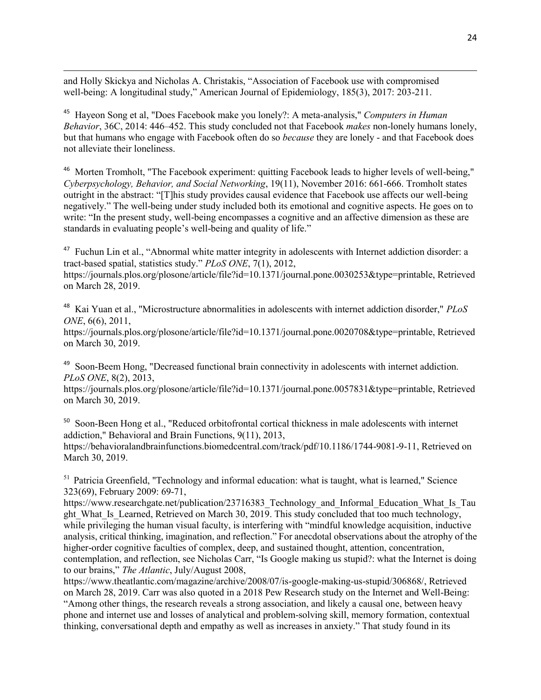and Holly Skickya and Nicholas A. Christakis, "Association of Facebook use with compromised well-being: A longitudinal study," American Journal of Epidemiology, 185(3), 2017: 203-211.

 $\overline{\phantom{a}}$ 

<sup>45</sup> Hayeon Song et al, "Does Facebook make you lonely?: A meta-analysis," *Computers in Human Behavior*, 36C, 2014: 446–452. This study concluded not that Facebook *makes* non-lonely humans lonely, but that humans who engage with Facebook often do so *because* they are lonely - and that Facebook does not alleviate their loneliness.

<sup>46</sup> Morten Tromholt, "The Facebook experiment: quitting Facebook leads to higher levels of well-being," *Cyberpsychology, Behavior, and Social Networking*, 19(11), November 2016: 661-666. Tromholt states outright in the abstract: "[T]his study provides causal evidence that Facebook use affects our well-being negatively." The well-being under study included both its emotional and cognitive aspects. He goes on to write: "In the present study, well-being encompasses a cognitive and an affective dimension as these are standards in evaluating people's well-being and quality of life."

<sup>47</sup> Fuchun Lin et al., "Abnormal white matter integrity in adolescents with Internet addiction disorder: a tract-based spatial, statistics study." *PLoS ONE*, 7(1), 2012,

https://journals.plos.org/plosone/article/file?id=10.1371/journal.pone.0030253&type=printable, Retrieved on March 28, 2019.

<sup>48</sup> Kai Yuan et al., "Microstructure abnormalities in adolescents with internet addiction disorder," *PLoS ONE*, 6(6), 2011,

https://journals.plos.org/plosone/article/file?id=10.1371/journal.pone.0020708&type=printable, Retrieved on March 30, 2019.

<sup>49</sup> Soon-Beem Hong, "Decreased functional brain connectivity in adolescents with internet addiction. *PLoS ONE*, 8(2), 2013,

https://journals.plos.org/plosone/article/file?id=10.1371/journal.pone.0057831&type=printable, Retrieved on March 30, 2019.

<sup>50</sup> Soon-Been Hong et al., "Reduced orbitofrontal cortical thickness in male adolescents with internet addiction," Behavioral and Brain Functions, 9(11), 2013, https://behavioralandbrainfunctions.biomedcentral.com/track/pdf/10.1186/1744-9081-9-11, Retrieved on March 30, 2019.

<sup>51</sup> Patricia Greenfield, "Technology and informal education: what is taught, what is learned," Science 323(69), February 2009: 69-71,

https://www.researchgate.net/publication/23716383 Technology and Informal Education What Is Tau ght What Is Learned, Retrieved on March 30, 2019. This study concluded that too much technology, while privileging the human visual faculty, is interfering with "mindful knowledge acquisition, inductive analysis, critical thinking, imagination, and reflection." For anecdotal observations about the atrophy of the higher-order cognitive faculties of complex, deep, and sustained thought, attention, concentration, contemplation, and reflection, see Nicholas Carr, "Is Google making us stupid?: what the Internet is doing to our brains," *The Atlantic*, July/August 2008,

https://www.theatlantic.com/magazine/archive/2008/07/is-google-making-us-stupid/306868/, Retrieved on March 28, 2019. Carr was also quoted in a 2018 Pew Research study on the Internet and Well-Being: "Among other things, the research reveals a strong association, and likely a causal one, between heavy phone and internet use and losses of analytical and problem-solving skill, memory formation, contextual thinking, conversational depth and empathy as well as increases in anxiety." That study found in its